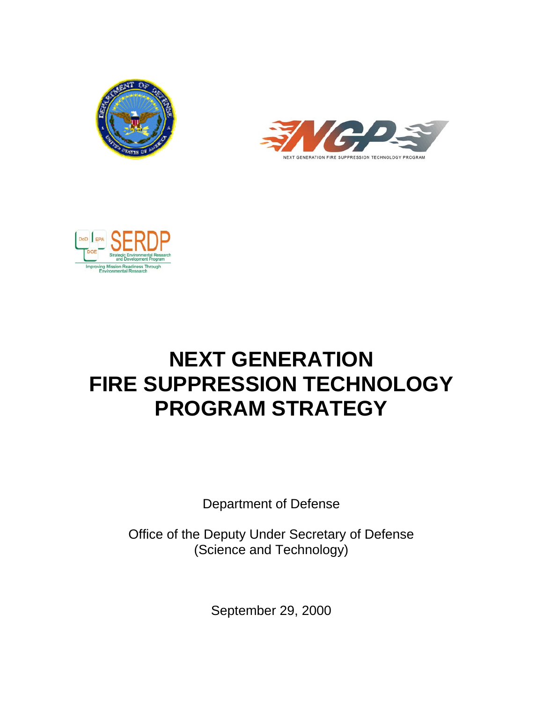





# **NEXT GENERATION FIRE SUPPRESSION TECHNOLOGY PROGRAM STRATEGY**

Department of Defense

Office of the Deputy Under Secretary of Defense (Science and Technology)

September 29, 2000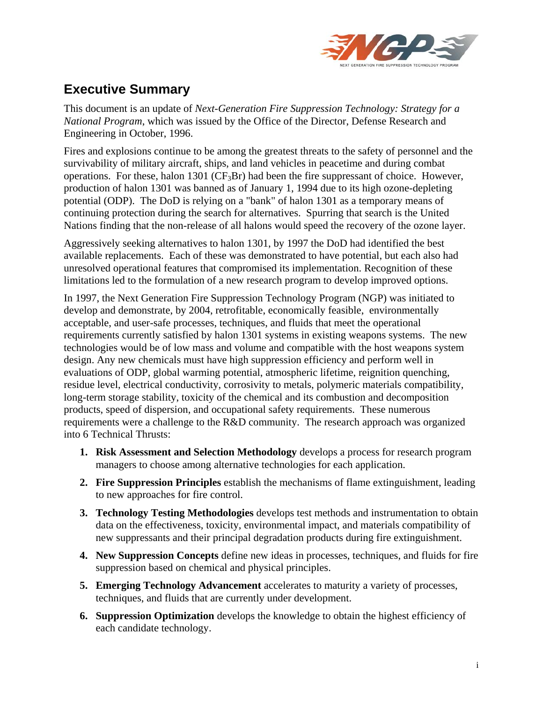

# **Executive Summary**

This document is an update of *Next-Generation Fire Suppression Technology: Strategy for a National Program*, which was issued by the Office of the Director, Defense Research and Engineering in October, 1996.

Fires and explosions continue to be among the greatest threats to the safety of personnel and the survivability of military aircraft, ships, and land vehicles in peacetime and during combat operations. For these, halon 1301 (CF<sub>3</sub>Br) had been the fire suppressant of choice. However, production of halon 1301 was banned as of January 1, 1994 due to its high ozone-depleting potential (ODP). The DoD is relying on a "bank" of halon 1301 as a temporary means of continuing protection during the search for alternatives. Spurring that search is the United Nations finding that the non-release of all halons would speed the recovery of the ozone layer.

Aggressively seeking alternatives to halon 1301, by 1997 the DoD had identified the best available replacements. Each of these was demonstrated to have potential, but each also had unresolved operational features that compromised its implementation. Recognition of these limitations led to the formulation of a new research program to develop improved options.

In 1997, the Next Generation Fire Suppression Technology Program (NGP) was initiated to develop and demonstrate, by 2004, retrofitable, economically feasible, environmentally acceptable, and user-safe processes, techniques, and fluids that meet the operational requirements currently satisfied by halon 1301 systems in existing weapons systems. The new technologies would be of low mass and volume and compatible with the host weapons system design. Any new chemicals must have high suppression efficiency and perform well in evaluations of ODP, global warming potential, atmospheric lifetime, reignition quenching, residue level, electrical conductivity, corrosivity to metals, polymeric materials compatibility, long-term storage stability, toxicity of the chemical and its combustion and decomposition products, speed of dispersion, and occupational safety requirements. These numerous requirements were a challenge to the R&D community. The research approach was organized into 6 Technical Thrusts:

- **1. Risk Assessment and Selection Methodology** develops a process for research program managers to choose among alternative technologies for each application.
- **2. Fire Suppression Principles** establish the mechanisms of flame extinguishment, leading to new approaches for fire control.
- **3. Technology Testing Methodologies** develops test methods and instrumentation to obtain data on the effectiveness, toxicity, environmental impact, and materials compatibility of new suppressants and their principal degradation products during fire extinguishment.
- **4. New Suppression Concepts** define new ideas in processes, techniques, and fluids for fire suppression based on chemical and physical principles.
- **5. Emerging Technology Advancement** accelerates to maturity a variety of processes, techniques, and fluids that are currently under development.
- **6. Suppression Optimization** develops the knowledge to obtain the highest efficiency of each candidate technology.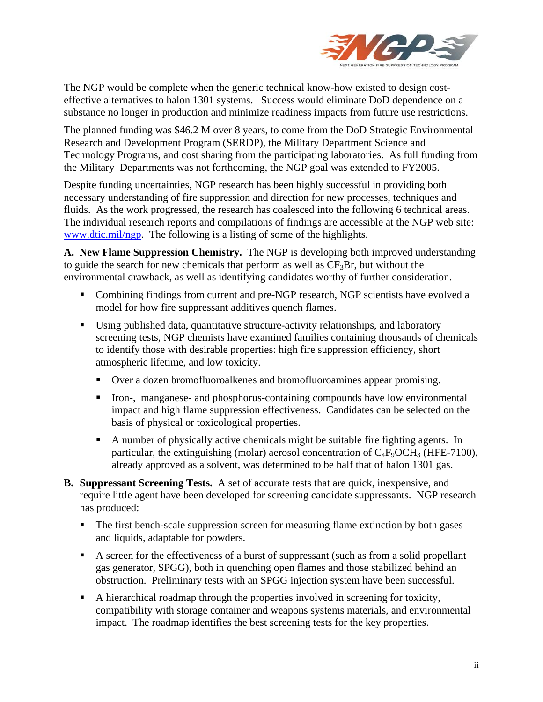

The NGP would be complete when the generic technical know-how existed to design costeffective alternatives to halon 1301 systems. Success would eliminate DoD dependence on a substance no longer in production and minimize readiness impacts from future use restrictions.

The planned funding was \$46.2 M over 8 years, to come from the DoD Strategic Environmental Research and Development Program (SERDP), the Military Department Science and Technology Programs, and cost sharing from the participating laboratories. As full funding from the Military Departments was not forthcoming, the NGP goal was extended to FY2005.

Despite funding uncertainties, NGP research has been highly successful in providing both necessary understanding of fire suppression and direction for new processes, techniques and fluids. As the work progressed, the research has coalesced into the following 6 technical areas. The individual research reports and compilations of findings are accessible at the NGP web site: www.dtic.mil/ngp. The following is a listing of some of the highlights.

**A. New Flame Suppression Chemistry.** The NGP is developing both improved understanding to guide the search for new chemicals that perform as well as  $CF_3Br$ , but without the environmental drawback, as well as identifying candidates worthy of further consideration.

- Combining findings from current and pre-NGP research, NGP scientists have evolved a model for how fire suppressant additives quench flames.
- Using published data, quantitative structure-activity relationships, and laboratory screening tests, NGP chemists have examined families containing thousands of chemicals to identify those with desirable properties: high fire suppression efficiency, short atmospheric lifetime, and low toxicity.
	- Over a dozen bromofluoroalkenes and bromofluoroamines appear promising.
	- Iron-, manganese- and phosphorus-containing compounds have low environmental impact and high flame suppression effectiveness. Candidates can be selected on the basis of physical or toxicological properties.
	- A number of physically active chemicals might be suitable fire fighting agents. In particular, the extinguishing (molar) aerosol concentration of  $C_4F_9OCH_3$  (HFE-7100), already approved as a solvent, was determined to be half that of halon 1301 gas.
- **B. Suppressant Screening Tests.** A set of accurate tests that are quick, inexpensive, and require little agent have been developed for screening candidate suppressants. NGP research has produced:
	- The first bench-scale suppression screen for measuring flame extinction by both gases and liquids, adaptable for powders.
	- A screen for the effectiveness of a burst of suppressant (such as from a solid propellant gas generator, SPGG), both in quenching open flames and those stabilized behind an obstruction. Preliminary tests with an SPGG injection system have been successful.
	- A hierarchical roadmap through the properties involved in screening for toxicity, compatibility with storage container and weapons systems materials, and environmental impact. The roadmap identifies the best screening tests for the key properties.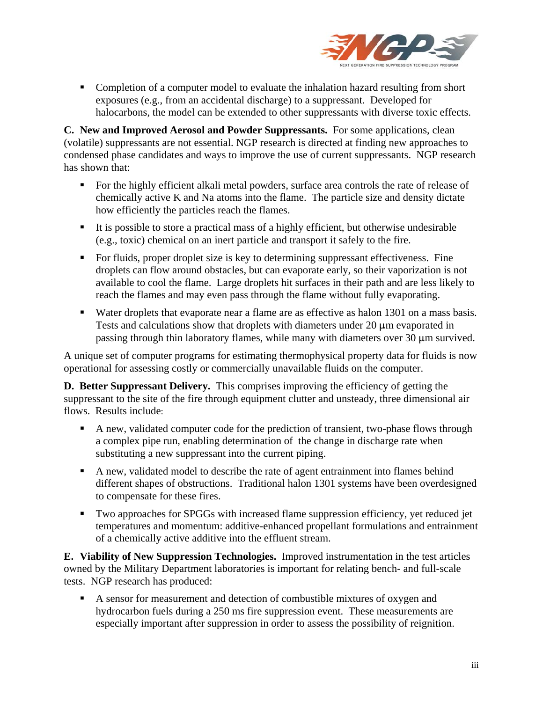

• Completion of a computer model to evaluate the inhalation hazard resulting from short exposures (e.g., from an accidental discharge) to a suppressant. Developed for halocarbons, the model can be extended to other suppressants with diverse toxic effects.

**C. New and Improved Aerosol and Powder Suppressants.** For some applications, clean (volatile) suppressants are not essential. NGP research is directed at finding new approaches to condensed phase candidates and ways to improve the use of current suppressants. NGP research has shown that:

- For the highly efficient alkali metal powders, surface area controls the rate of release of chemically active K and Na atoms into the flame. The particle size and density dictate how efficiently the particles reach the flames.
- It is possible to store a practical mass of a highly efficient, but otherwise undesirable (e.g., toxic) chemical on an inert particle and transport it safely to the fire.
- For fluids, proper droplet size is key to determining suppressant effectiveness. Fine droplets can flow around obstacles, but can evaporate early, so their vaporization is not available to cool the flame. Large droplets hit surfaces in their path and are less likely to reach the flames and may even pass through the flame without fully evaporating.
- Water droplets that evaporate near a flame are as effective as halon 1301 on a mass basis. Tests and calculations show that droplets with diameters under  $20 \mu m$  evaporated in passing through thin laboratory flames, while many with diameters over  $30 \mu m$  survived.

A unique set of computer programs for estimating thermophysical property data for fluids is now operational for assessing costly or commercially unavailable fluids on the computer.

**D. Better Suppressant Delivery.** This comprises improving the efficiency of getting the suppressant to the site of the fire through equipment clutter and unsteady, three dimensional air flows. Results include:

- A new, validated computer code for the prediction of transient, two-phase flows through a complex pipe run, enabling determination of the change in discharge rate when substituting a new suppressant into the current piping.
- A new, validated model to describe the rate of agent entrainment into flames behind different shapes of obstructions. Traditional halon 1301 systems have been overdesigned to compensate for these fires.
- Two approaches for SPGGs with increased flame suppression efficiency, yet reduced jet temperatures and momentum: additive-enhanced propellant formulations and entrainment of a chemically active additive into the effluent stream.

**E. Viability of New Suppression Technologies.** Improved instrumentation in the test articles owned by the Military Department laboratories is important for relating bench- and full-scale tests. NGP research has produced:

A sensor for measurement and detection of combustible mixtures of oxygen and hydrocarbon fuels during a 250 ms fire suppression event. These measurements are especially important after suppression in order to assess the possibility of reignition.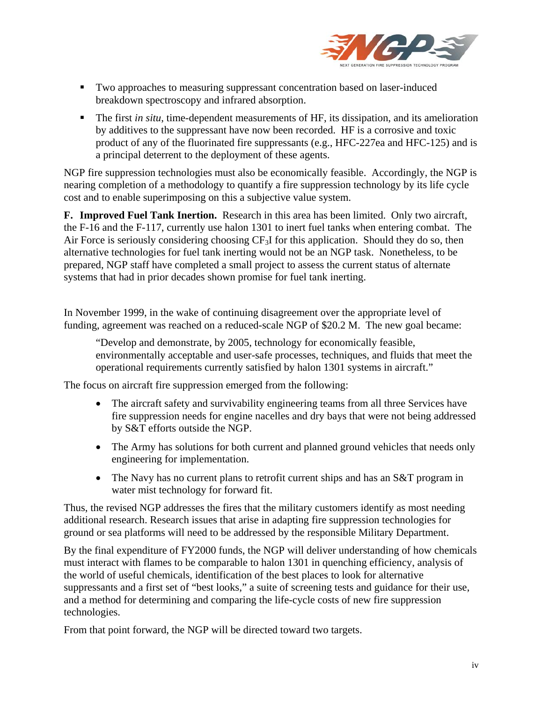

- Two approaches to measuring suppressant concentration based on laser-induced breakdown spectroscopy and infrared absorption.
- The first *in situ*, time-dependent measurements of HF, its dissipation, and its amelioration by additives to the suppressant have now been recorded. HF is a corrosive and toxic product of any of the fluorinated fire suppressants (e.g., HFC-227ea and HFC-125) and is a principal deterrent to the deployment of these agents.

NGP fire suppression technologies must also be economically feasible. Accordingly, the NGP is nearing completion of a methodology to quantify a fire suppression technology by its life cycle cost and to enable superimposing on this a subjective value system.

**F. Improved Fuel Tank Inertion.** Research in this area has been limited. Only two aircraft, the F-16 and the F-117, currently use halon 1301 to inert fuel tanks when entering combat. The Air Force is seriously considering choosing CF<sub>3</sub>I for this application. Should they do so, then alternative technologies for fuel tank inerting would not be an NGP task. Nonetheless, to be prepared, NGP staff have completed a small project to assess the current status of alternate systems that had in prior decades shown promise for fuel tank inerting.

In November 1999, in the wake of continuing disagreement over the appropriate level of funding, agreement was reached on a reduced-scale NGP of \$20.2 M. The new goal became:

"Develop and demonstrate, by 2005, technology for economically feasible, environmentally acceptable and user-safe processes, techniques, and fluids that meet the operational requirements currently satisfied by halon 1301 systems in aircraft."

The focus on aircraft fire suppression emerged from the following:

- The aircraft safety and survivability engineering teams from all three Services have fire suppression needs for engine nacelles and dry bays that were not being addressed by S&T efforts outside the NGP.
- The Army has solutions for both current and planned ground vehicles that needs only engineering for implementation.
- The Navy has no current plans to retrofit current ships and has an S&T program in water mist technology for forward fit.

Thus, the revised NGP addresses the fires that the military customers identify as most needing additional research. Research issues that arise in adapting fire suppression technologies for ground or sea platforms will need to be addressed by the responsible Military Department.

By the final expenditure of FY2000 funds, the NGP will deliver understanding of how chemicals must interact with flames to be comparable to halon 1301 in quenching efficiency, analysis of the world of useful chemicals, identification of the best places to look for alternative suppressants and a first set of "best looks," a suite of screening tests and guidance for their use, and a method for determining and comparing the life-cycle costs of new fire suppression technologies.

From that point forward, the NGP will be directed toward two targets.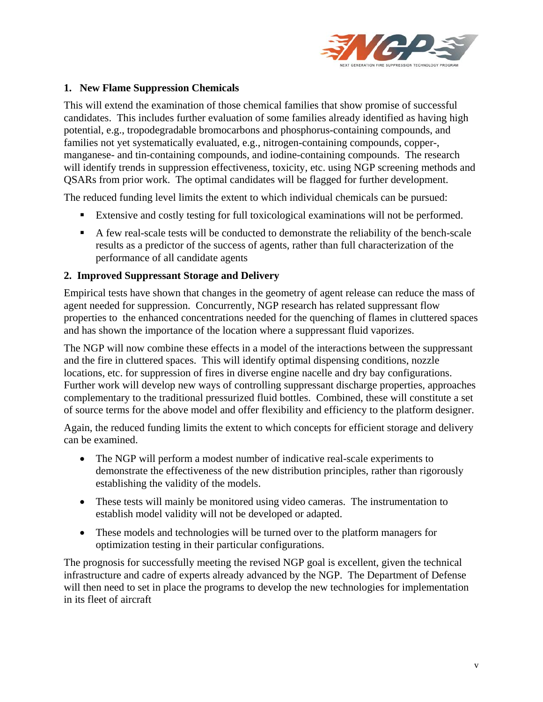

#### **1. New Flame Suppression Chemicals**

This will extend the examination of those chemical families that show promise of successful candidates. This includes further evaluation of some families already identified as having high potential, e.g., tropodegradable bromocarbons and phosphorus-containing compounds, and families not yet systematically evaluated, e.g., nitrogen-containing compounds, copper-, manganese- and tin-containing compounds, and iodine-containing compounds. The research will identify trends in suppression effectiveness, toxicity, etc. using NGP screening methods and QSARs from prior work. The optimal candidates will be flagged for further development.

The reduced funding level limits the extent to which individual chemicals can be pursued:

- Extensive and costly testing for full toxicological examinations will not be performed.
- A few real-scale tests will be conducted to demonstrate the reliability of the bench-scale results as a predictor of the success of agents, rather than full characterization of the performance of all candidate agents

#### **2. Improved Suppressant Storage and Delivery**

Empirical tests have shown that changes in the geometry of agent release can reduce the mass of agent needed for suppression. Concurrently, NGP research has related suppressant flow properties to the enhanced concentrations needed for the quenching of flames in cluttered spaces and has shown the importance of the location where a suppressant fluid vaporizes.

The NGP will now combine these effects in a model of the interactions between the suppressant and the fire in cluttered spaces. This will identify optimal dispensing conditions, nozzle locations, etc. for suppression of fires in diverse engine nacelle and dry bay configurations. Further work will develop new ways of controlling suppressant discharge properties, approaches complementary to the traditional pressurized fluid bottles. Combined, these will constitute a set of source terms for the above model and offer flexibility and efficiency to the platform designer.

Again, the reduced funding limits the extent to which concepts for efficient storage and delivery can be examined.

- The NGP will perform a modest number of indicative real-scale experiments to demonstrate the effectiveness of the new distribution principles, rather than rigorously establishing the validity of the models.
- These tests will mainly be monitored using video cameras. The instrumentation to establish model validity will not be developed or adapted.
- These models and technologies will be turned over to the platform managers for optimization testing in their particular configurations.

The prognosis for successfully meeting the revised NGP goal is excellent, given the technical infrastructure and cadre of experts already advanced by the NGP. The Department of Defense will then need to set in place the programs to develop the new technologies for implementation in its fleet of aircraft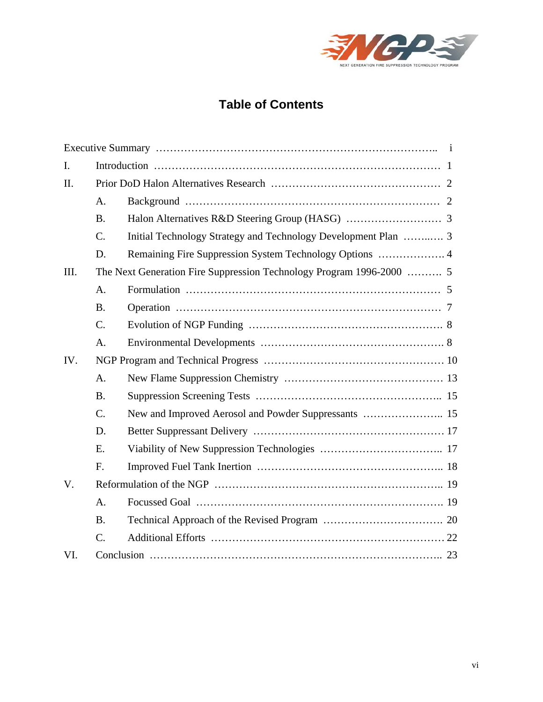

# **Table of Contents**

| I.   |                 |                                                                |  |
|------|-----------------|----------------------------------------------------------------|--|
| II.  |                 |                                                                |  |
|      | A.              |                                                                |  |
|      | <b>B.</b>       |                                                                |  |
|      | C.              | Initial Technology Strategy and Technology Development Plan  3 |  |
|      | D.              | Remaining Fire Suppression System Technology Options  4        |  |
| III. |                 |                                                                |  |
|      | A.              |                                                                |  |
|      | <b>B.</b>       |                                                                |  |
|      | C.              |                                                                |  |
|      | A.              |                                                                |  |
| IV.  |                 |                                                                |  |
|      | A.              |                                                                |  |
|      | B <sub>1</sub>  |                                                                |  |
|      | $\mathcal{C}$ . |                                                                |  |
|      | D.              |                                                                |  |
|      | E.              |                                                                |  |
|      | F.              |                                                                |  |
| V.   |                 |                                                                |  |
|      | A <sub>1</sub>  |                                                                |  |
|      | <b>B.</b>       |                                                                |  |
|      | $\mathcal{C}$ . |                                                                |  |
| VI.  |                 |                                                                |  |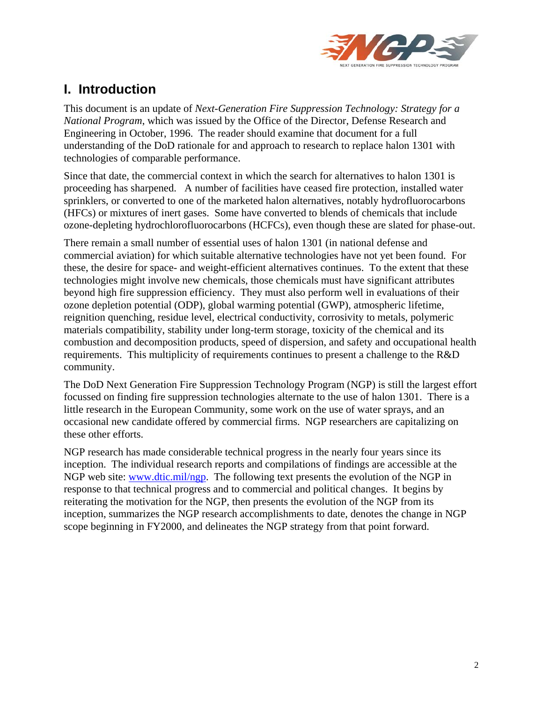

# **I. Introduction**

This document is an update of *Next-Generation Fire Suppression Technology: Strategy for a National Program*, which was issued by the Office of the Director, Defense Research and Engineering in October, 1996. The reader should examine that document for a full understanding of the DoD rationale for and approach to research to replace halon 1301 with technologies of comparable performance.

Since that date, the commercial context in which the search for alternatives to halon 1301 is proceeding has sharpened. A number of facilities have ceased fire protection, installed water sprinklers, or converted to one of the marketed halon alternatives, notably hydrofluorocarbons (HFCs) or mixtures of inert gases. Some have converted to blends of chemicals that include ozone-depleting hydrochlorofluorocarbons (HCFCs), even though these are slated for phase-out.

There remain a small number of essential uses of halon 1301 (in national defense and commercial aviation) for which suitable alternative technologies have not yet been found. For these, the desire for space- and weight-efficient alternatives continues. To the extent that these technologies might involve new chemicals, those chemicals must have significant attributes beyond high fire suppression efficiency. They must also perform well in evaluations of their ozone depletion potential (ODP), global warming potential (GWP), atmospheric lifetime, reignition quenching, residue level, electrical conductivity, corrosivity to metals, polymeric materials compatibility, stability under long-term storage, toxicity of the chemical and its combustion and decomposition products, speed of dispersion, and safety and occupational health requirements. This multiplicity of requirements continues to present a challenge to the R&D community.

The DoD Next Generation Fire Suppression Technology Program (NGP) is still the largest effort focussed on finding fire suppression technologies alternate to the use of halon 1301. There is a little research in the European Community, some work on the use of water sprays, and an occasional new candidate offered by commercial firms. NGP researchers are capitalizing on these other efforts.

NGP research has made considerable technical progress in the nearly four years since its inception. The individual research reports and compilations of findings are accessible at the NGP web site: www.dtic.mil/ngp. The following text presents the evolution of the NGP in response to that technical progress and to commercial and political changes. It begins by reiterating the motivation for the NGP, then presents the evolution of the NGP from its inception, summarizes the NGP research accomplishments to date, denotes the change in NGP scope beginning in FY2000, and delineates the NGP strategy from that point forward.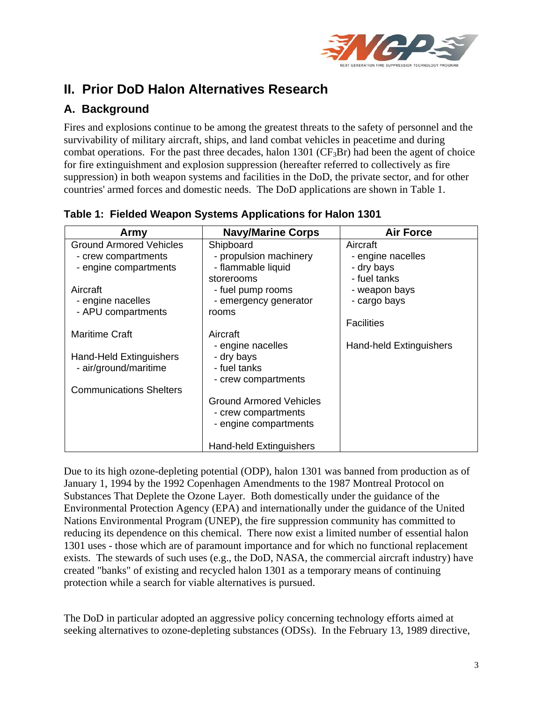

# **II. Prior DoD Halon Alternatives Research**

# **A. Background**

Fires and explosions continue to be among the greatest threats to the safety of personnel and the survivability of military aircraft, ships, and land combat vehicles in peacetime and during combat operations. For the past three decades, halon 1301 ( $CF_3Br$ ) had been the agent of choice for fire extinguishment and explosion suppression (hereafter referred to collectively as fire suppression) in both weapon systems and facilities in the DoD, the private sector, and for other countries' armed forces and domestic needs. The DoD applications are shown in Table 1.

| Army                           | <b>Navy/Marine Corps</b>       | <b>Air Force</b>               |
|--------------------------------|--------------------------------|--------------------------------|
| <b>Ground Armored Vehicles</b> | Shipboard                      | Aircraft                       |
| - crew compartments            | - propulsion machinery         | - engine nacelles              |
| - engine compartments          | - flammable liquid             | - dry bays                     |
|                                | storerooms                     | - fuel tanks                   |
| Aircraft                       | - fuel pump rooms              | - weapon bays                  |
| - engine nacelles              | - emergency generator          | - cargo bays                   |
| - APU compartments             | rooms                          |                                |
|                                |                                | <b>Facilities</b>              |
| <b>Maritime Craft</b>          | Aircraft                       |                                |
|                                | - engine nacelles              | <b>Hand-held Extinguishers</b> |
| Hand-Held Extinguishers        | - dry bays                     |                                |
| - air/ground/maritime          | - fuel tanks                   |                                |
|                                | - crew compartments            |                                |
| <b>Communications Shelters</b> |                                |                                |
|                                | <b>Ground Armored Vehicles</b> |                                |
|                                | - crew compartments            |                                |
|                                | - engine compartments          |                                |
|                                |                                |                                |
|                                | Hand-held Extinguishers        |                                |

**Table 1: Fielded Weapon Systems Applications for Halon 1301** 

Due to its high ozone-depleting potential (ODP), halon 1301 was banned from production as of January 1, 1994 by the 1992 Copenhagen Amendments to the 1987 Montreal Protocol on Substances That Deplete the Ozone Layer. Both domestically under the guidance of the Environmental Protection Agency (EPA) and internationally under the guidance of the United Nations Environmental Program (UNEP), the fire suppression community has committed to reducing its dependence on this chemical. There now exist a limited number of essential halon 1301 uses - those which are of paramount importance and for which no functional replacement exists. The stewards of such uses (e.g., the DoD, NASA, the commercial aircraft industry) have created "banks" of existing and recycled halon 1301 as a temporary means of continuing protection while a search for viable alternatives is pursued.

The DoD in particular adopted an aggressive policy concerning technology efforts aimed at seeking alternatives to ozone-depleting substances (ODSs). In the February 13, 1989 directive,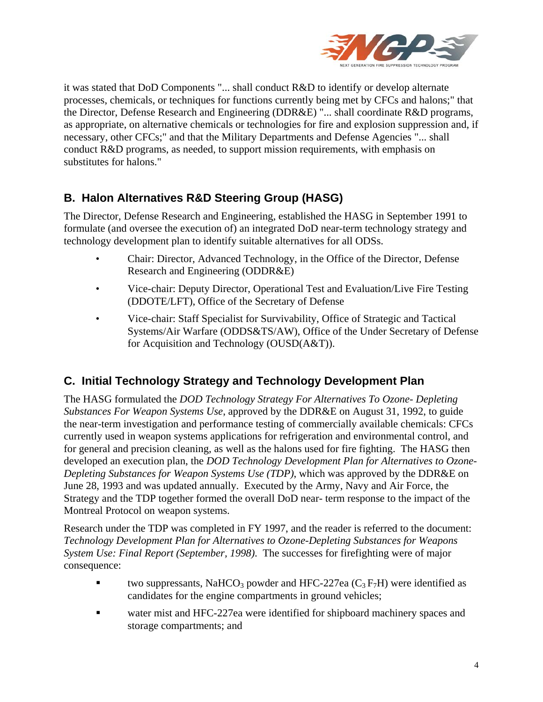

it was stated that DoD Components "... shall conduct R&D to identify or develop alternate processes, chemicals, or techniques for functions currently being met by CFCs and halons;" that the Director, Defense Research and Engineering (DDR&E) "... shall coordinate R&D programs, as appropriate, on alternative chemicals or technologies for fire and explosion suppression and, if necessary, other CFCs;" and that the Military Departments and Defense Agencies "... shall conduct R&D programs, as needed, to support mission requirements, with emphasis on substitutes for halons."

# **B. Halon Alternatives R&D Steering Group (HASG)**

The Director, Defense Research and Engineering, established the HASG in September 1991 to formulate (and oversee the execution of) an integrated DoD near-term technology strategy and technology development plan to identify suitable alternatives for all ODSs.

- Chair: Director, Advanced Technology, in the Office of the Director, Defense Research and Engineering (ODDR&E)
- Vice-chair: Deputy Director, Operational Test and Evaluation/Live Fire Testing (DDOTE/LFT), Office of the Secretary of Defense
- Vice-chair: Staff Specialist for Survivability, Office of Strategic and Tactical Systems/Air Warfare (ODDS&TS/AW), Office of the Under Secretary of Defense for Acquisition and Technology (OUSD(A&T)).

#### **C. Initial Technology Strategy and Technology Development Plan**

The HASG formulated the *DOD Technology Strategy For Alternatives To Ozone- Depleting Substances For Weapon Systems Use*, approved by the DDR&E on August 31, 1992, to guide the near-term investigation and performance testing of commercially available chemicals: CFCs currently used in weapon systems applications for refrigeration and environmental control, and for general and precision cleaning, as well as the halons used for fire fighting. The HASG then developed an execution plan, the *DOD Technology Development Plan for Alternatives to Ozone-Depleting Substances for Weapon Systems Use (TDP)*, which was approved by the DDR&E on June 28, 1993 and was updated annually. Executed by the Army, Navy and Air Force, the Strategy and the TDP together formed the overall DoD near- term response to the impact of the Montreal Protocol on weapon systems.

Research under the TDP was completed in FY 1997, and the reader is referred to the document: *Technology Development Plan for Alternatives to Ozone-Depleting Substances for Weapons System Use: Final Report (September, 1998)*. The successes for firefighting were of major consequence:

- two suppressants, NaHCO<sub>3</sub> powder and HFC-227ea  $(C_3 F_7H)$  were identified as candidates for the engine compartments in ground vehicles;
- water mist and HFC-227ea were identified for shipboard machinery spaces and storage compartments; and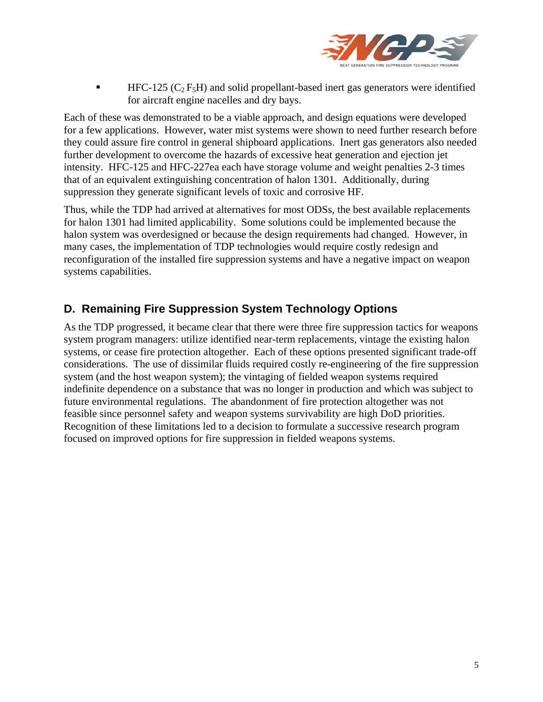

HFC-125 ( $C_2$  F<sub>5</sub>H) and solid propellant-based inert gas generators were identified for aircraft engine nacelles and dry bays.

Each of these was demonstrated to be a viable approach, and design equations were developed for a few applications. However, water mist systems were shown to need further research before they could assure fire control in general shipboard applications. Inert gas generators also needed further development to overcome the hazards of excessive heat generation and ejection jet intensity. HFC-125 and HFC-227ea each have storage volume and weight penalties 2-3 times that of an equivalent extinguishing concentration of halon 1301. Additionally, during suppression they generate significant levels of toxic and corrosive HF.

Thus, while the TDP had arrived at alternatives for most ODSs, the best available replacements for halon 1301 had limited applicability. Some solutions could be implemented because the halon system was overdesigned or because the design requirements had changed. However, in many cases, the implementation of TDP technologies would require costly redesign and reconfiguration of the installed fire suppression systems and have a negative impact on weapon systems capabilities.

### **D. Remaining Fire Suppression System Technology Options**

As the TDP progressed, it became clear that there were three fire suppression tactics for weapons system program managers: utilize identified near-term replacements, vintage the existing halon systems, or cease fire protection altogether. Each of these options presented significant trade-off considerations. The use of dissimilar fluids required costly re-engineering of the fire suppression system (and the host weapon system); the vintaging of fielded weapon systems required indefinite dependence on a substance that was no longer in production and which was subject to future environmental regulations. The abandonment of fire protection altogether was not feasible since personnel safety and weapon systems survivability are high DoD priorities. Recognition of these limitations led to a decision to formulate a successive research program focused on improved options for fire suppression in fielded weapons systems.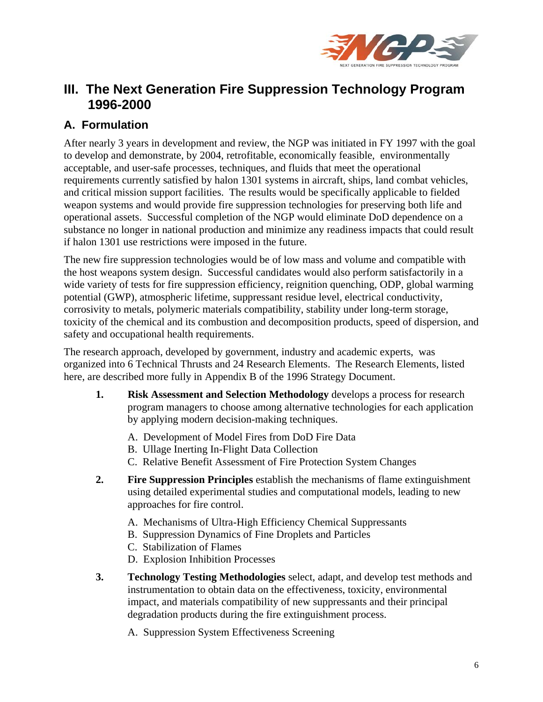

# **III. The Next Generation Fire Suppression Technology Program 1996-2000**

# **A. Formulation**

After nearly 3 years in development and review, the NGP was initiated in FY 1997 with the goal to develop and demonstrate, by 2004, retrofitable, economically feasible, environmentally acceptable, and user-safe processes, techniques, and fluids that meet the operational requirements currently satisfied by halon 1301 systems in aircraft, ships, land combat vehicles, and critical mission support facilities. The results would be specifically applicable to fielded weapon systems and would provide fire suppression technologies for preserving both life and operational assets. Successful completion of the NGP would eliminate DoD dependence on a substance no longer in national production and minimize any readiness impacts that could result if halon 1301 use restrictions were imposed in the future.

The new fire suppression technologies would be of low mass and volume and compatible with the host weapons system design. Successful candidates would also perform satisfactorily in a wide variety of tests for fire suppression efficiency, reignition quenching, ODP, global warming potential (GWP), atmospheric lifetime, suppressant residue level, electrical conductivity, corrosivity to metals, polymeric materials compatibility, stability under long-term storage, toxicity of the chemical and its combustion and decomposition products, speed of dispersion, and safety and occupational health requirements.

The research approach, developed by government, industry and academic experts, was organized into 6 Technical Thrusts and 24 Research Elements. The Research Elements, listed here, are described more fully in Appendix B of the 1996 Strategy Document.

- **1. Risk Assessment and Selection Methodology** develops a process for research program managers to choose among alternative technologies for each application by applying modern decision-making techniques.
	- A. Development of Model Fires from DoD Fire Data
	- B. Ullage Inerting In-Flight Data Collection
	- C. Relative Benefit Assessment of Fire Protection System Changes
- **2. Fire Suppression Principles** establish the mechanisms of flame extinguishment using detailed experimental studies and computational models, leading to new approaches for fire control.
	- A. Mechanisms of Ultra-High Efficiency Chemical Suppressants
	- B. Suppression Dynamics of Fine Droplets and Particles
	- C. Stabilization of Flames
	- D. Explosion Inhibition Processes
- **3. Technology Testing Methodologies** select, adapt, and develop test methods and instrumentation to obtain data on the effectiveness, toxicity, environmental impact, and materials compatibility of new suppressants and their principal degradation products during the fire extinguishment process.

A. Suppression System Effectiveness Screening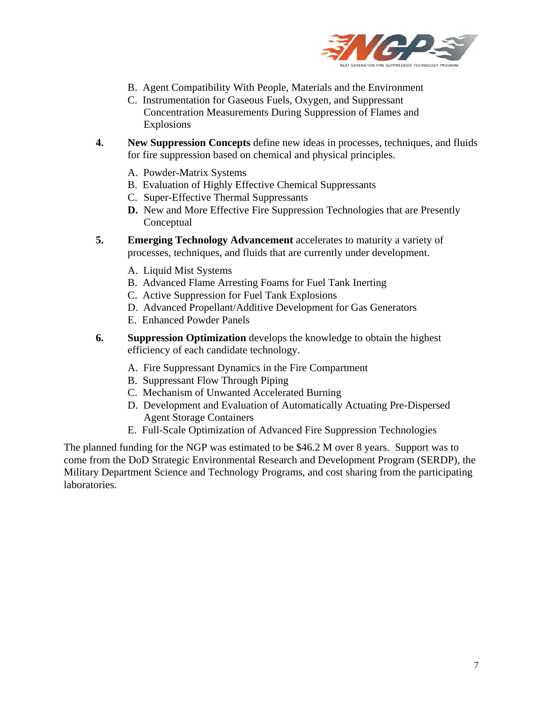

- B. Agent Compatibility With People, Materials and the Environment
- C. Instrumentation for Gaseous Fuels, Oxygen, and Suppressant Concentration Measurements During Suppression of Flames and Explosions
- **4. New Suppression Concepts** define new ideas in processes, techniques, and fluids for fire suppression based on chemical and physical principles.
	- A. Powder-Matrix Systems
	- B. Evaluation of Highly Effective Chemical Suppressants
	- C. Super-Effective Thermal Suppressants
	- **D.** New and More Effective Fire Suppression Technologies that are Presently Conceptual
- **5. Emerging Technology Advancement** accelerates to maturity a variety of processes, techniques, and fluids that are currently under development.
	- A. Liquid Mist Systems
	- B. Advanced Flame Arresting Foams for Fuel Tank Inerting
	- C. Active Suppression for Fuel Tank Explosions
	- D. Advanced Propellant/Additive Development for Gas Generators
	- E. Enhanced Powder Panels
- **6. Suppression Optimization** develops the knowledge to obtain the highest efficiency of each candidate technology.
	- A. Fire Suppressant Dynamics in the Fire Compartment
	- B. Suppressant Flow Through Piping
	- C. Mechanism of Unwanted Accelerated Burning
	- D. Development and Evaluation of Automatically Actuating Pre-Dispersed Agent Storage Containers
	- E. Full-Scale Optimization of Advanced Fire Suppression Technologies

The planned funding for the NGP was estimated to be \$46.2 M over 8 years. Support was to come from the DoD Strategic Environmental Research and Development Program (SERDP), the Military Department Science and Technology Programs, and cost sharing from the participating laboratories.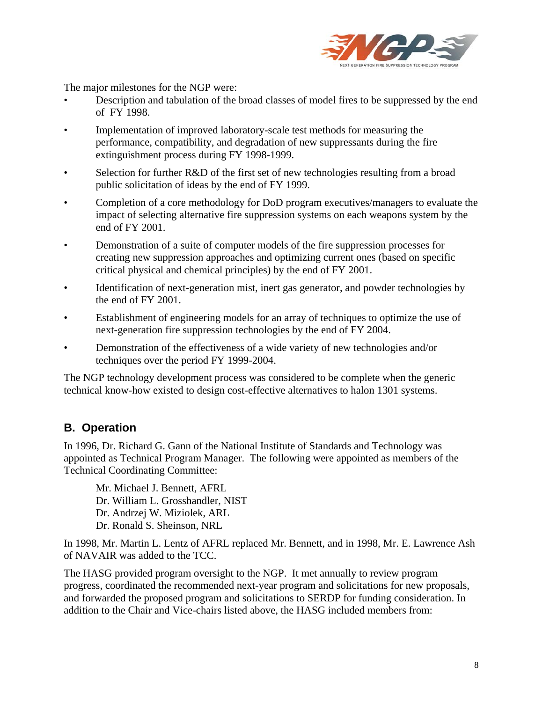

The major milestones for the NGP were:

- Description and tabulation of the broad classes of model fires to be suppressed by the end of FY 1998.
- Implementation of improved laboratory-scale test methods for measuring the performance, compatibility, and degradation of new suppressants during the fire extinguishment process during FY 1998-1999.
- Selection for further R&D of the first set of new technologies resulting from a broad public solicitation of ideas by the end of FY 1999.
- Completion of a core methodology for DoD program executives/managers to evaluate the impact of selecting alternative fire suppression systems on each weapons system by the end of FY 2001.
- Demonstration of a suite of computer models of the fire suppression processes for creating new suppression approaches and optimizing current ones (based on specific critical physical and chemical principles) by the end of FY 2001.
- Identification of next-generation mist, inert gas generator, and powder technologies by the end of FY 2001.
- Establishment of engineering models for an array of techniques to optimize the use of next-generation fire suppression technologies by the end of FY 2004.
- Demonstration of the effectiveness of a wide variety of new technologies and/or techniques over the period FY 1999-2004.

The NGP technology development process was considered to be complete when the generic technical know-how existed to design cost-effective alternatives to halon 1301 systems.

### **B. Operation**

In 1996, Dr. Richard G. Gann of the National Institute of Standards and Technology was appointed as Technical Program Manager. The following were appointed as members of the Technical Coordinating Committee:

Mr. Michael J. Bennett, AFRL Dr. William L. Grosshandler, NIST Dr. Andrzej W. Miziolek, ARL Dr. Ronald S. Sheinson, NRL

In 1998, Mr. Martin L. Lentz of AFRL replaced Mr. Bennett, and in 1998, Mr. E. Lawrence Ash of NAVAIR was added to the TCC.

The HASG provided program oversight to the NGP. It met annually to review program progress, coordinated the recommended next-year program and solicitations for new proposals, and forwarded the proposed program and solicitations to SERDP for funding consideration. In addition to the Chair and Vice-chairs listed above, the HASG included members from: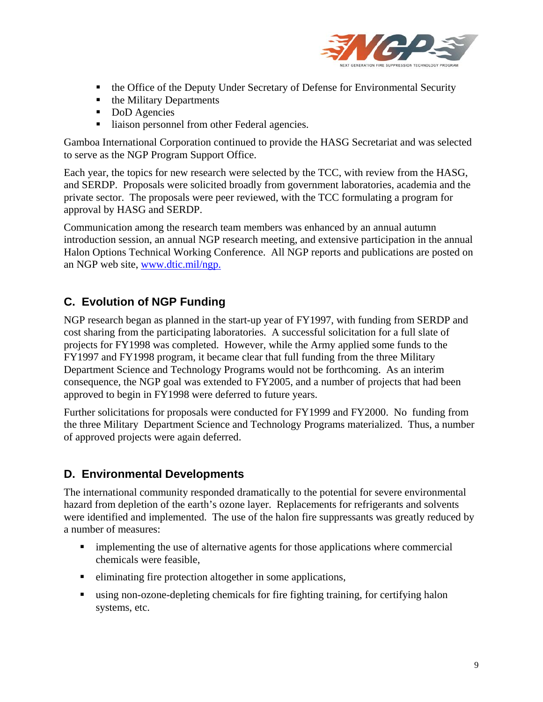

- the Office of the Deputy Under Secretary of Defense for Environmental Security
- the Military Departments
- DoD Agencies
- liaison personnel from other Federal agencies.

Gamboa International Corporation continued to provide the HASG Secretariat and was selected to serve as the NGP Program Support Office.

Each year, the topics for new research were selected by the TCC, with review from the HASG, and SERDP. Proposals were solicited broadly from government laboratories, academia and the private sector. The proposals were peer reviewed, with the TCC formulating a program for approval by HASG and SERDP.

Communication among the research team members was enhanced by an annual autumn introduction session, an annual NGP research meeting, and extensive participation in the annual Halon Options Technical Working Conference. All NGP reports and publications are posted on an NGP web site, www.dtic.mil/ngp.

### **C. Evolution of NGP Funding**

NGP research began as planned in the start-up year of FY1997, with funding from SERDP and cost sharing from the participating laboratories. A successful solicitation for a full slate of projects for FY1998 was completed. However, while the Army applied some funds to the FY1997 and FY1998 program, it became clear that full funding from the three Military Department Science and Technology Programs would not be forthcoming. As an interim consequence, the NGP goal was extended to FY2005, and a number of projects that had been approved to begin in FY1998 were deferred to future years.

Further solicitations for proposals were conducted for FY1999 and FY2000. No funding from the three Military Department Science and Technology Programs materialized. Thus, a number of approved projects were again deferred.

#### **D. Environmental Developments**

The international community responded dramatically to the potential for severe environmental hazard from depletion of the earth's ozone layer. Replacements for refrigerants and solvents were identified and implemented. The use of the halon fire suppressants was greatly reduced by a number of measures:

- implementing the use of alternative agents for those applications where commercial chemicals were feasible,
- eliminating fire protection altogether in some applications,
- using non-ozone-depleting chemicals for fire fighting training, for certifying halon systems, etc.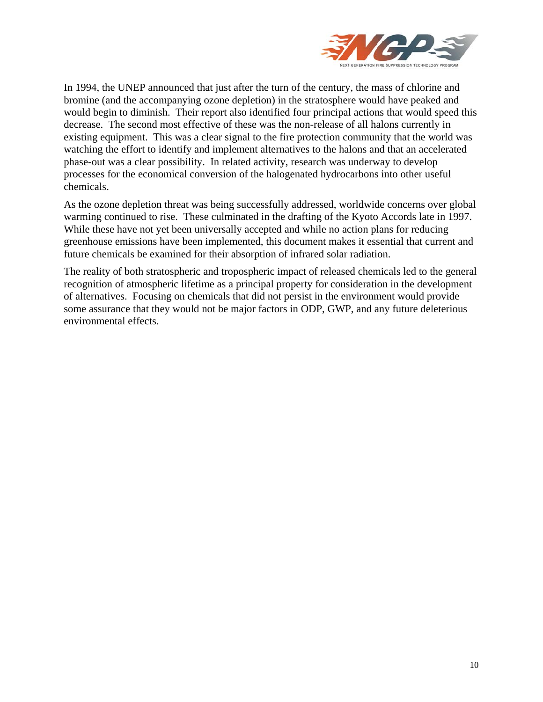

In 1994, the UNEP announced that just after the turn of the century, the mass of chlorine and bromine (and the accompanying ozone depletion) in the stratosphere would have peaked and would begin to diminish. Their report also identified four principal actions that would speed this decrease. The second most effective of these was the non-release of all halons currently in existing equipment. This was a clear signal to the fire protection community that the world was watching the effort to identify and implement alternatives to the halons and that an accelerated phase-out was a clear possibility. In related activity, research was underway to develop processes for the economical conversion of the halogenated hydrocarbons into other useful chemicals.

As the ozone depletion threat was being successfully addressed, worldwide concerns over global warming continued to rise. These culminated in the drafting of the Kyoto Accords late in 1997. While these have not yet been universally accepted and while no action plans for reducing greenhouse emissions have been implemented, this document makes it essential that current and future chemicals be examined for their absorption of infrared solar radiation.

The reality of both stratospheric and tropospheric impact of released chemicals led to the general recognition of atmospheric lifetime as a principal property for consideration in the development of alternatives. Focusing on chemicals that did not persist in the environment would provide some assurance that they would not be major factors in ODP, GWP, and any future deleterious environmental effects.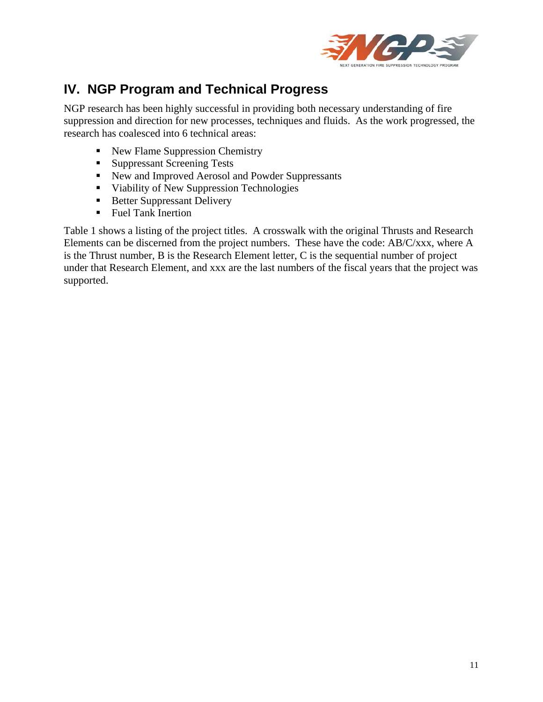

# **IV. NGP Program and Technical Progress**

NGP research has been highly successful in providing both necessary understanding of fire suppression and direction for new processes, techniques and fluids. As the work progressed, the research has coalesced into 6 technical areas:

- New Flame Suppression Chemistry
- Suppressant Screening Tests
- New and Improved Aerosol and Powder Suppressants
- Viability of New Suppression Technologies
- Better Suppressant Delivery
- Fuel Tank Inertion

Table 1 shows a listing of the project titles. A crosswalk with the original Thrusts and Research Elements can be discerned from the project numbers. These have the code: AB/C/xxx, where A is the Thrust number, B is the Research Element letter, C is the sequential number of project under that Research Element, and xxx are the last numbers of the fiscal years that the project was supported.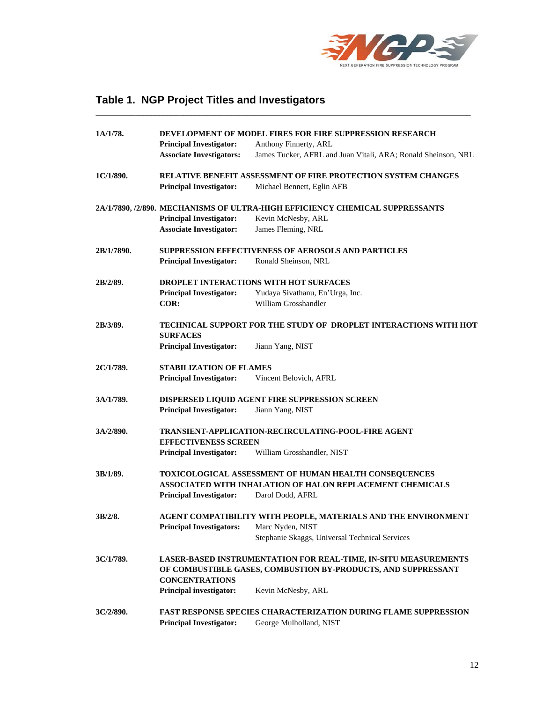

# **Table 1. NGP Project Titles and Investigators**

| 1A/1/78.   | DEVELOPMENT OF MODEL FIRES FOR FIRE SUPPRESSION RESEARCH |                                                                              |  |
|------------|----------------------------------------------------------|------------------------------------------------------------------------------|--|
|            | <b>Principal Investigator:</b>                           | Anthony Finnerty, ARL                                                        |  |
|            | <b>Associate Investigators:</b>                          | James Tucker, AFRL and Juan Vitali, ARA; Ronald Sheinson, NRL                |  |
| 1C/1/890.  |                                                          | RELATIVE BENEFIT ASSESSMENT OF FIRE PROTECTION SYSTEM CHANGES                |  |
|            | <b>Principal Investigator:</b>                           | Michael Bennett, Eglin AFB                                                   |  |
|            |                                                          | 2A/1/7890, /2/890. MECHANISMS OF ULTRA-HIGH EFFICIENCY CHEMICAL SUPPRESSANTS |  |
|            | <b>Principal Investigator:</b>                           | Kevin McNesby, ARL                                                           |  |
|            | <b>Associate Investigator:</b>                           | James Fleming, NRL                                                           |  |
| 2B/1/7890. |                                                          | <b>SUPPRESSION EFFECTIVENESS OF AEROSOLS AND PARTICLES</b>                   |  |
|            | <b>Principal Investigator:</b>                           | Ronald Sheinson, NRL                                                         |  |
| 2B/2/89.   | DROPLET INTERACTIONS WITH HOT SURFACES                   |                                                                              |  |
|            | <b>Principal Investigator:</b>                           | Yudaya Sivathanu, En'Urga, Inc.                                              |  |
|            | COR:                                                     | William Grosshandler                                                         |  |
| 2B/3/89.   | <b>SURFACES</b>                                          | <b>TECHNICAL SUPPORT FOR THE STUDY OF DROPLET INTERACTIONS WITH HOT</b>      |  |
|            | <b>Principal Investigator:</b>                           | Jiann Yang, NIST                                                             |  |
| 2C/1/789.  | <b>STABILIZATION OF FLAMES</b>                           |                                                                              |  |
|            | <b>Principal Investigator:</b>                           | Vincent Belovich, AFRL                                                       |  |
| 3A/1/789.  |                                                          | DISPERSED LIQUID AGENT FIRE SUPPRESSION SCREEN                               |  |
|            | <b>Principal Investigator:</b>                           | Jiann Yang, NIST                                                             |  |
| 3A/2/890.  |                                                          | TRANSIENT-APPLICATION-RECIRCULATING-POOL-FIRE AGENT                          |  |
|            | <b>EFFECTIVENESS SCREEN</b>                              |                                                                              |  |
|            | <b>Principal Investigator:</b>                           | William Grosshandler, NIST                                                   |  |
| 3B/1/89.   |                                                          | <b>TOXICOLOGICAL ASSESSMENT OF HUMAN HEALTH CONSEQUENCES</b>                 |  |
|            |                                                          | ASSOCIATED WITH INHALATION OF HALON REPLACEMENT CHEMICALS                    |  |
|            | <b>Principal Investigator:</b>                           | Darol Dodd, AFRL                                                             |  |
| 3B/2/8.    |                                                          | AGENT COMPATIBILITY WITH PEOPLE, MATERIALS AND THE ENVIRONMENT               |  |
|            | Principal Investigators: Marc Nyden, NIST                |                                                                              |  |
|            |                                                          | Stephanie Skaggs, Universal Technical Services                               |  |
| 3C/1/789.  |                                                          | LASER-BASED INSTRUMENTATION FOR REAL-TIME, IN-SITU MEASUREMENTS              |  |
|            |                                                          | OF COMBUSTIBLE GASES, COMBUSTION BY-PRODUCTS, AND SUPPRESSANT                |  |
|            | <b>CONCENTRATIONS</b><br><b>Principal investigator:</b>  | Kevin McNesby, ARL                                                           |  |
| 3C/2/890.  |                                                          | <b>FAST RESPONSE SPECIES CHARACTERIZATION DURING FLAME SUPPRESSION</b>       |  |
|            | <b>Principal Investigator:</b>                           | George Mulholland, NIST                                                      |  |

\_\_\_\_\_\_\_\_\_\_\_\_\_\_\_\_\_\_\_\_\_\_\_\_\_\_\_\_\_\_\_\_\_\_\_\_\_\_\_\_\_\_\_\_\_\_\_\_\_\_\_\_\_\_\_\_\_\_\_\_\_\_\_\_\_\_\_\_\_\_\_\_\_\_\_\_\_\_\_\_\_\_\_\_\_\_\_\_\_\_\_\_\_\_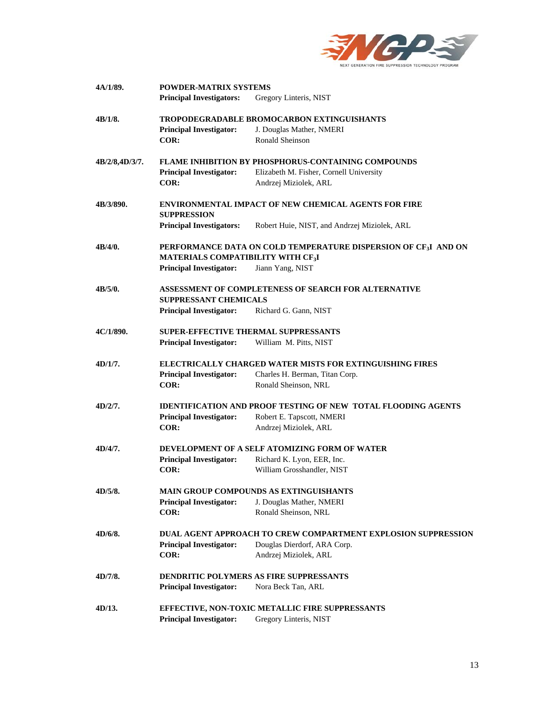

| 4A/1/89.       | <b>POWDER-MATRIX SYSTEMS</b>                                                         |                                                                             |  |  |  |
|----------------|--------------------------------------------------------------------------------------|-----------------------------------------------------------------------------|--|--|--|
|                | <b>Principal Investigators:</b>                                                      | Gregory Linteris, NIST                                                      |  |  |  |
| 4B/1/8.        |                                                                                      | <b>TROPODEGRADABLE BROMOCARBON EXTINGUISHANTS</b>                           |  |  |  |
|                | <b>Principal Investigator:</b>                                                       | J. Douglas Mather, NMERI                                                    |  |  |  |
|                | COR:                                                                                 | <b>Ronald Sheinson</b>                                                      |  |  |  |
| 4B/2/8,4D/3/7. |                                                                                      | <b>FLAME INHIBITION BY PHOSPHORUS-CONTAINING COMPOUNDS</b>                  |  |  |  |
|                | <b>Principal Investigator:</b>                                                       | Elizabeth M. Fisher, Cornell University                                     |  |  |  |
|                | COR:                                                                                 | Andrzej Miziolek, ARL                                                       |  |  |  |
| 4B/3/890.      |                                                                                      | <b>ENVIRONMENTAL IMPACT OF NEW CHEMICAL AGENTS FOR FIRE</b>                 |  |  |  |
|                | <b>SUPPRESSION</b>                                                                   |                                                                             |  |  |  |
|                | <b>Principal Investigators:</b>                                                      | Robert Huie, NIST, and Andrzej Miziolek, ARL                                |  |  |  |
| 4B/4/0.        | MATERIALS COMPATIBILITY WITH CF <sub>3</sub> I                                       | PERFORMANCE DATA ON COLD TEMPERATURE DISPERSION OF CF <sub>3</sub> I AND ON |  |  |  |
|                | <b>Principal Investigator:</b>                                                       | Jiann Yang, NIST                                                            |  |  |  |
| 4B/5/0.        | ASSESSMENT OF COMPLETENESS OF SEARCH FOR ALTERNATIVE<br><b>SUPPRESSANT CHEMICALS</b> |                                                                             |  |  |  |
|                | <b>Principal Investigator:</b>                                                       | Richard G. Gann, NIST                                                       |  |  |  |
|                |                                                                                      |                                                                             |  |  |  |
| 4C/1/890.      |                                                                                      | <b>SUPER-EFFECTIVE THERMAL SUPPRESSANTS</b>                                 |  |  |  |
|                | <b>Principal Investigator:</b>                                                       | William M. Pitts, NIST                                                      |  |  |  |
| 4D/1/7.        |                                                                                      | <b>ELECTRICALLY CHARGED WATER MISTS FOR EXTINGUISHING FIRES</b>             |  |  |  |
|                | <b>Principal Investigator:</b>                                                       | Charles H. Berman, Titan Corp.                                              |  |  |  |
|                | COR:                                                                                 | Ronald Sheinson, NRL                                                        |  |  |  |
| 4D/2/7.        |                                                                                      | <b>IDENTIFICATION AND PROOF TESTING OF NEW TOTAL FLOODING AGENTS</b>        |  |  |  |
|                | <b>Principal Investigator:</b>                                                       | Robert E. Tapscott, NMERI                                                   |  |  |  |
|                | COR:                                                                                 | Andrzej Miziolek, ARL                                                       |  |  |  |
| 4D/4/7.        |                                                                                      | DEVELOPMENT OF A SELF ATOMIZING FORM OF WATER                               |  |  |  |
|                | <b>Principal Investigator:</b>                                                       | Richard K. Lyon, EER, Inc.                                                  |  |  |  |
|                | COR:                                                                                 | William Grosshandler, NIST                                                  |  |  |  |
| 4D/5/8.        |                                                                                      | <b>MAIN GROUP COMPOUNDS AS EXTINGUISHANTS</b>                               |  |  |  |
|                | <b>Principal Investigator:</b>                                                       | J. Douglas Mather, NMERI                                                    |  |  |  |
|                | COR:                                                                                 | Ronald Sheinson, NRL                                                        |  |  |  |
| 4D/6/8.        |                                                                                      | DUAL AGENT APPROACH TO CREW COMPARTMENT EXPLOSION SUPPRESSION               |  |  |  |
|                | <b>Principal Investigator:</b>                                                       | Douglas Dierdorf, ARA Corp.                                                 |  |  |  |
|                | COR:                                                                                 | Andrzej Miziolek, ARL                                                       |  |  |  |
| 4D/7/8.        |                                                                                      | <b>DENDRITIC POLYMERS AS FIRE SUPPRESSANTS</b>                              |  |  |  |
|                | <b>Principal Investigator:</b>                                                       | Nora Beck Tan, ARL                                                          |  |  |  |
|                |                                                                                      |                                                                             |  |  |  |
| 4D/13.         | <b>Principal Investigator:</b>                                                       | EFFECTIVE, NON-TOXIC METALLIC FIRE SUPPRESSANTS<br>Gregory Linteris, NIST   |  |  |  |
|                |                                                                                      |                                                                             |  |  |  |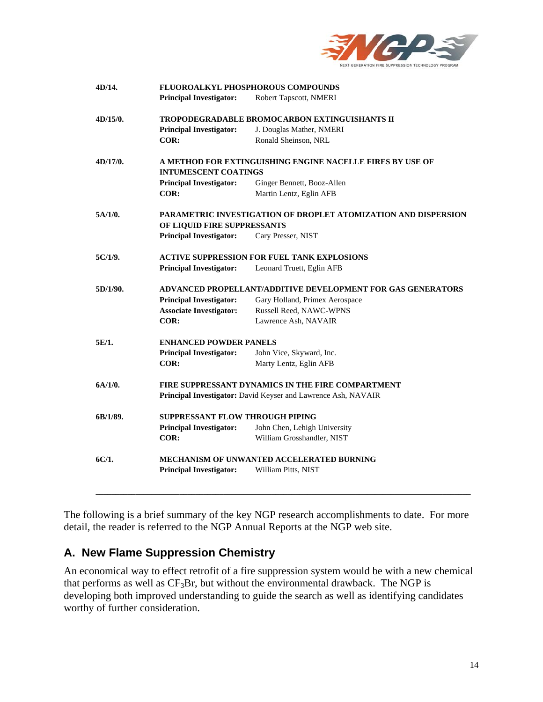

| 4D/14.   | FLUOROALKYL PHOSPHOROUS COMPOUNDS                              |                                                   |  |  |  |
|----------|----------------------------------------------------------------|---------------------------------------------------|--|--|--|
|          | <b>Principal Investigator:</b>                                 | Robert Tapscott, NMERI                            |  |  |  |
| 4D/15/0. | <b>TROPODEGRADABLE BROMOCARBON EXTINGUISHANTS II</b>           |                                                   |  |  |  |
|          | <b>Principal Investigator:</b>                                 | J. Douglas Mather, NMERI                          |  |  |  |
|          | COR:                                                           | Ronald Sheinson, NRL                              |  |  |  |
| 4D/17/0. | A METHOD FOR EXTINGUISHING ENGINE NACELLE FIRES BY USE OF      |                                                   |  |  |  |
|          | <b>INTUMESCENT COATINGS</b>                                    |                                                   |  |  |  |
|          | <b>Principal Investigator:</b>                                 | Ginger Bennett, Booz-Allen                        |  |  |  |
|          | COR:                                                           | Martin Lentz, Eglin AFB                           |  |  |  |
| 5A/1/0.  | PARAMETRIC INVESTIGATION OF DROPLET ATOMIZATION AND DISPERSION |                                                   |  |  |  |
|          | OF LIQUID FIRE SUPPRESSANTS                                    |                                                   |  |  |  |
|          | <b>Principal Investigator:</b>                                 | Cary Presser, NIST                                |  |  |  |
| 5C/1/9.  | <b>ACTIVE SUPPRESSION FOR FUEL TANK EXPLOSIONS</b>             |                                                   |  |  |  |
|          | <b>Principal Investigator:</b>                                 | Leonard Truett, Eglin AFB                         |  |  |  |
| 5D/1/90. | ADVANCED PROPELLANT/ADDITIVE DEVELOPMENT FOR GAS GENERATORS    |                                                   |  |  |  |
|          | <b>Principal Investigator:</b>                                 | Gary Holland, Primex Aerospace                    |  |  |  |
|          | <b>Associate Investigator:</b>                                 | Russell Reed, NAWC-WPNS                           |  |  |  |
|          | COR:                                                           | Lawrence Ash, NAVAIR                              |  |  |  |
| 5E/1.    | <b>ENHANCED POWDER PANELS</b>                                  |                                                   |  |  |  |
|          | <b>Principal Investigator:</b>                                 | John Vice, Skyward, Inc.                          |  |  |  |
|          | COR:                                                           | Marty Lentz, Eglin AFB                            |  |  |  |
| 6A/1/0.  |                                                                | FIRE SUPPRESSANT DYNAMICS IN THE FIRE COMPARTMENT |  |  |  |
|          | Principal Investigator: David Keyser and Lawrence Ash, NAVAIR  |                                                   |  |  |  |
| 6B/1/89. | <b>SUPPRESSANT FLOW THROUGH PIPING</b>                         |                                                   |  |  |  |
|          | <b>Principal Investigator:</b>                                 | John Chen, Lehigh University                      |  |  |  |
|          | COR:                                                           | William Grosshandler, NIST                        |  |  |  |
| 6C/1.    | MECHANISM OF UNWANTED ACCELERATED BURNING                      |                                                   |  |  |  |
|          | <b>Principal Investigator:</b>                                 | William Pitts, NIST                               |  |  |  |
|          |                                                                |                                                   |  |  |  |

The following is a brief summary of the key NGP research accomplishments to date. For more detail, the reader is referred to the NGP Annual Reports at the NGP web site.

### **A. New Flame Suppression Chemistry**

An economical way to effect retrofit of a fire suppression system would be with a new chemical that performs as well as  $CF_3Br$ , but without the environmental drawback. The NGP is developing both improved understanding to guide the search as well as identifying candidates worthy of further consideration.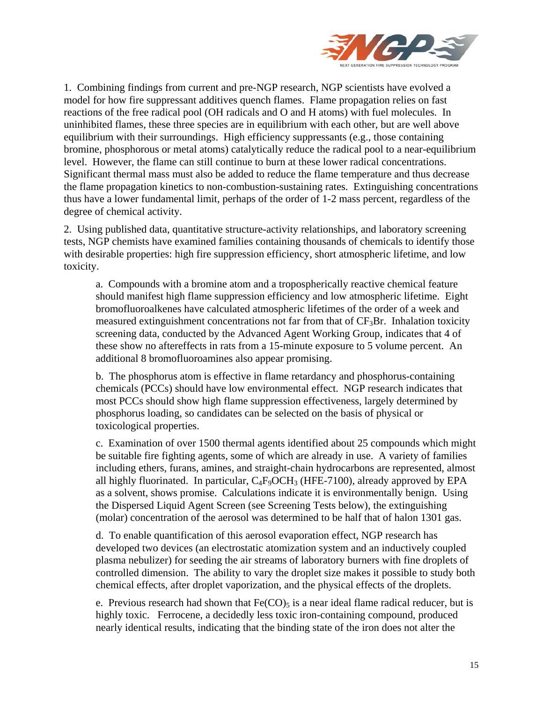

1. Combining findings from current and pre-NGP research, NGP scientists have evolved a model for how fire suppressant additives quench flames. Flame propagation relies on fast reactions of the free radical pool (OH radicals and O and H atoms) with fuel molecules. In uninhibited flames, these three species are in equilibrium with each other, but are well above equilibrium with their surroundings. High efficiency suppressants (e.g., those containing bromine, phosphorous or metal atoms) catalytically reduce the radical pool to a near-equilibrium level. However, the flame can still continue to burn at these lower radical concentrations. Significant thermal mass must also be added to reduce the flame temperature and thus decrease the flame propagation kinetics to non-combustion-sustaining rates. Extinguishing concentrations thus have a lower fundamental limit, perhaps of the order of 1-2 mass percent, regardless of the degree of chemical activity.

2. Using published data, quantitative structure-activity relationships, and laboratory screening tests, NGP chemists have examined families containing thousands of chemicals to identify those with desirable properties: high fire suppression efficiency, short atmospheric lifetime, and low toxicity.

a. Compounds with a bromine atom and a tropospherically reactive chemical feature should manifest high flame suppression efficiency and low atmospheric lifetime. Eight bromofluoroalkenes have calculated atmospheric lifetimes of the order of a week and measured extinguishment concentrations not far from that of  $CF_3Br$ . Inhalation toxicity screening data, conducted by the Advanced Agent Working Group, indicates that 4 of these show no aftereffects in rats from a 15-minute exposure to 5 volume percent. An additional 8 bromofluoroamines also appear promising.

b. The phosphorus atom is effective in flame retardancy and phosphorus-containing chemicals (PCCs) should have low environmental effect. NGP research indicates that most PCCs should show high flame suppression effectiveness, largely determined by phosphorus loading, so candidates can be selected on the basis of physical or toxicological properties.

c. Examination of over 1500 thermal agents identified about 25 compounds which might be suitable fire fighting agents, some of which are already in use. A variety of families including ethers, furans, amines, and straight-chain hydrocarbons are represented, almost all highly fluorinated. In particular,  $C_4F_9OCH_3$  (HFE-7100), already approved by EPA as a solvent, shows promise. Calculations indicate it is environmentally benign. Using the Dispersed Liquid Agent Screen (see Screening Tests below), the extinguishing (molar) concentration of the aerosol was determined to be half that of halon 1301 gas.

d. To enable quantification of this aerosol evaporation effect, NGP research has developed two devices (an electrostatic atomization system and an inductively coupled plasma nebulizer) for seeding the air streams of laboratory burners with fine droplets of controlled dimension. The ability to vary the droplet size makes it possible to study both chemical effects, after droplet vaporization, and the physical effects of the droplets.

e. Previous research had shown that  $Fe(CO)_5$  is a near ideal flame radical reducer, but is highly toxic. Ferrocene, a decidedly less toxic iron-containing compound, produced nearly identical results, indicating that the binding state of the iron does not alter the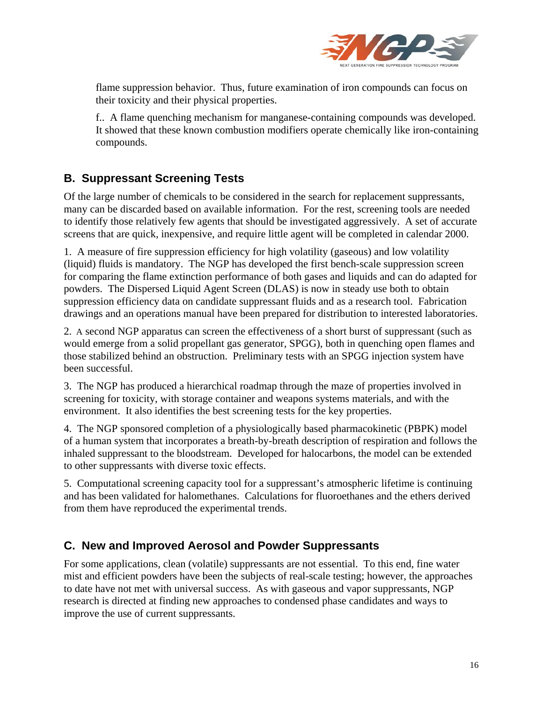

flame suppression behavior. Thus, future examination of iron compounds can focus on their toxicity and their physical properties.

f.. A flame quenching mechanism for manganese-containing compounds was developed. It showed that these known combustion modifiers operate chemically like iron-containing compounds.

# **B. Suppressant Screening Tests**

Of the large number of chemicals to be considered in the search for replacement suppressants, many can be discarded based on available information. For the rest, screening tools are needed to identify those relatively few agents that should be investigated aggressively. A set of accurate screens that are quick, inexpensive, and require little agent will be completed in calendar 2000.

1. A measure of fire suppression efficiency for high volatility (gaseous) and low volatility (liquid) fluids is mandatory. The NGP has developed the first bench-scale suppression screen for comparing the flame extinction performance of both gases and liquids and can do adapted for powders. The Dispersed Liquid Agent Screen (DLAS) is now in steady use both to obtain suppression efficiency data on candidate suppressant fluids and as a research tool. Fabrication drawings and an operations manual have been prepared for distribution to interested laboratories.

2. A second NGP apparatus can screen the effectiveness of a short burst of suppressant (such as would emerge from a solid propellant gas generator, SPGG), both in quenching open flames and those stabilized behind an obstruction. Preliminary tests with an SPGG injection system have been successful.

3. The NGP has produced a hierarchical roadmap through the maze of properties involved in screening for toxicity, with storage container and weapons systems materials, and with the environment. It also identifies the best screening tests for the key properties.

4. The NGP sponsored completion of a physiologically based pharmacokinetic (PBPK) model of a human system that incorporates a breath-by-breath description of respiration and follows the inhaled suppressant to the bloodstream. Developed for halocarbons, the model can be extended to other suppressants with diverse toxic effects.

5. Computational screening capacity tool for a suppressant's atmospheric lifetime is continuing and has been validated for halomethanes. Calculations for fluoroethanes and the ethers derived from them have reproduced the experimental trends.

#### **C. New and Improved Aerosol and Powder Suppressants**

For some applications, clean (volatile) suppressants are not essential. To this end, fine water mist and efficient powders have been the subjects of real-scale testing; however, the approaches to date have not met with universal success. As with gaseous and vapor suppressants, NGP research is directed at finding new approaches to condensed phase candidates and ways to improve the use of current suppressants.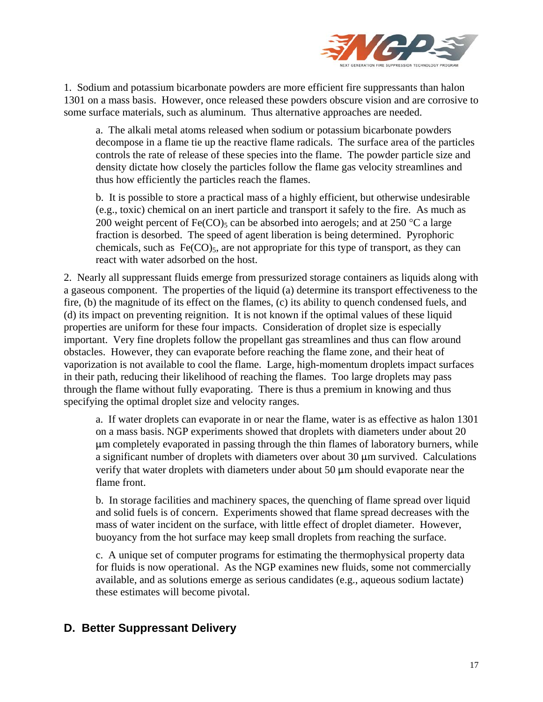

1. Sodium and potassium bicarbonate powders are more efficient fire suppressants than halon 1301 on a mass basis. However, once released these powders obscure vision and are corrosive to some surface materials, such as aluminum. Thus alternative approaches are needed.

a. The alkali metal atoms released when sodium or potassium bicarbonate powders decompose in a flame tie up the reactive flame radicals. The surface area of the particles controls the rate of release of these species into the flame. The powder particle size and density dictate how closely the particles follow the flame gas velocity streamlines and thus how efficiently the particles reach the flames.

b. It is possible to store a practical mass of a highly efficient, but otherwise undesirable (e.g., toxic) chemical on an inert particle and transport it safely to the fire. As much as 200 weight percent of Fe(CO)<sub>5</sub> can be absorbed into aerogels; and at 250 °C a large fraction is desorbed. The speed of agent liberation is being determined. Pyrophoric chemicals, such as  $Fe(CO)_5$ , are not appropriate for this type of transport, as they can react with water adsorbed on the host.

2. Nearly all suppressant fluids emerge from pressurized storage containers as liquids along with a gaseous component. The properties of the liquid (a) determine its transport effectiveness to the fire, (b) the magnitude of its effect on the flames, (c) its ability to quench condensed fuels, and (d) its impact on preventing reignition. It is not known if the optimal values of these liquid properties are uniform for these four impacts. Consideration of droplet size is especially important. Very fine droplets follow the propellant gas streamlines and thus can flow around obstacles. However, they can evaporate before reaching the flame zone, and their heat of vaporization is not available to cool the flame. Large, high-momentum droplets impact surfaces in their path, reducing their likelihood of reaching the flames. Too large droplets may pass through the flame without fully evaporating. There is thus a premium in knowing and thus specifying the optimal droplet size and velocity ranges.

a. If water droplets can evaporate in or near the flame, water is as effective as halon 1301 on a mass basis. NGP experiments showed that droplets with diameters under about 20  $\mu$ m completely evaporated in passing through the thin flames of laboratory burners, while a significant number of droplets with diameters over about  $30 \mu m$  survived. Calculations verify that water droplets with diameters under about 50  $\mu$ m should evaporate near the flame front.

b. In storage facilities and machinery spaces, the quenching of flame spread over liquid and solid fuels is of concern. Experiments showed that flame spread decreases with the mass of water incident on the surface, with little effect of droplet diameter. However, buoyancy from the hot surface may keep small droplets from reaching the surface.

c. A unique set of computer programs for estimating the thermophysical property data for fluids is now operational. As the NGP examines new fluids, some not commercially available, and as solutions emerge as serious candidates (e.g., aqueous sodium lactate) these estimates will become pivotal.

#### **D. Better Suppressant Delivery**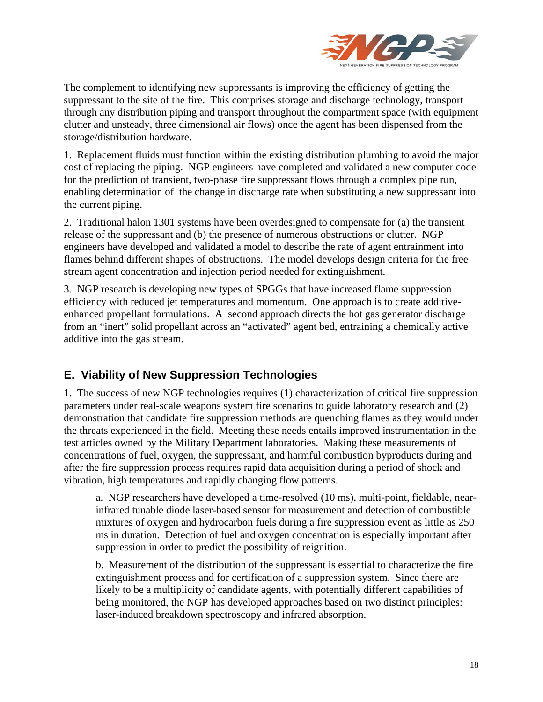

The complement to identifying new suppressants is improving the efficiency of getting the suppressant to the site of the fire. This comprises storage and discharge technology, transport through any distribution piping and transport throughout the compartment space (with equipment clutter and unsteady, three dimensional air flows) once the agent has been dispensed from the storage/distribution hardware.

1. Replacement fluids must function within the existing distribution plumbing to avoid the major cost of replacing the piping. NGP engineers have completed and validated a new computer code for the prediction of transient, two-phase fire suppressant flows through a complex pipe run, enabling determination of the change in discharge rate when substituting a new suppressant into the current piping.

2. Traditional halon 1301 systems have been overdesigned to compensate for (a) the transient release of the suppressant and (b) the presence of numerous obstructions or clutter. NGP engineers have developed and validated a model to describe the rate of agent entrainment into flames behind different shapes of obstructions. The model develops design criteria for the free stream agent concentration and injection period needed for extinguishment.

3. NGP research is developing new types of SPGGs that have increased flame suppression efficiency with reduced jet temperatures and momentum. One approach is to create additiveenhanced propellant formulations. A second approach directs the hot gas generator discharge from an "inert" solid propellant across an "activated" agent bed, entraining a chemically active additive into the gas stream.

### **E. Viability of New Suppression Technologies**

1. The success of new NGP technologies requires (1) characterization of critical fire suppression parameters under real-scale weapons system fire scenarios to guide laboratory research and (2) demonstration that candidate fire suppression methods are quenching flames as they would under the threats experienced in the field. Meeting these needs entails improved instrumentation in the test articles owned by the Military Department laboratories. Making these measurements of concentrations of fuel, oxygen, the suppressant, and harmful combustion byproducts during and after the fire suppression process requires rapid data acquisition during a period of shock and vibration, high temperatures and rapidly changing flow patterns.

a. NGP researchers have developed a time-resolved (10 ms), multi-point, fieldable, nearinfrared tunable diode laser-based sensor for measurement and detection of combustible mixtures of oxygen and hydrocarbon fuels during a fire suppression event as little as 250 ms in duration. Detection of fuel and oxygen concentration is especially important after suppression in order to predict the possibility of reignition.

b. Measurement of the distribution of the suppressant is essential to characterize the fire extinguishment process and for certification of a suppression system. Since there are likely to be a multiplicity of candidate agents, with potentially different capabilities of being monitored, the NGP has developed approaches based on two distinct principles: laser-induced breakdown spectroscopy and infrared absorption.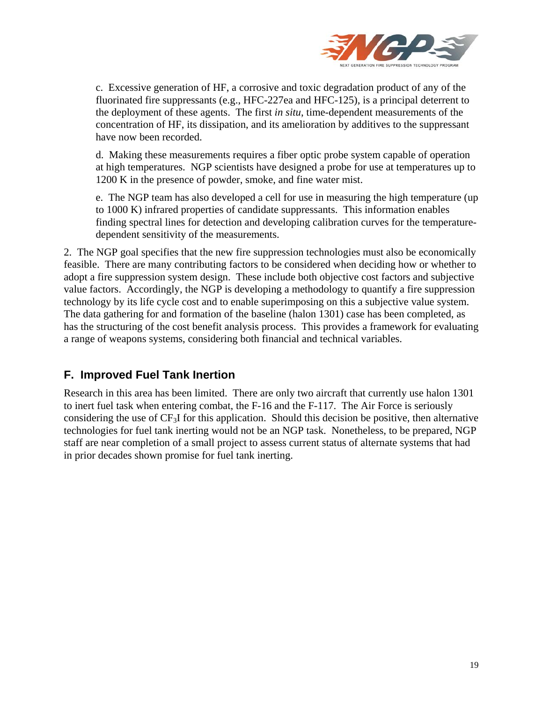

c. Excessive generation of HF, a corrosive and toxic degradation product of any of the fluorinated fire suppressants (e.g., HFC-227ea and HFC-125), is a principal deterrent to the deployment of these agents. The first *in situ*, time-dependent measurements of the concentration of HF, its dissipation, and its amelioration by additives to the suppressant have now been recorded.

d. Making these measurements requires a fiber optic probe system capable of operation at high temperatures. NGP scientists have designed a probe for use at temperatures up to 1200 K in the presence of powder, smoke, and fine water mist.

e. The NGP team has also developed a cell for use in measuring the high temperature (up to 1000 K) infrared properties of candidate suppressants. This information enables finding spectral lines for detection and developing calibration curves for the temperaturedependent sensitivity of the measurements.

2. The NGP goal specifies that the new fire suppression technologies must also be economically feasible. There are many contributing factors to be considered when deciding how or whether to adopt a fire suppression system design. These include both objective cost factors and subjective value factors. Accordingly, the NGP is developing a methodology to quantify a fire suppression technology by its life cycle cost and to enable superimposing on this a subjective value system. The data gathering for and formation of the baseline (halon 1301) case has been completed, as has the structuring of the cost benefit analysis process. This provides a framework for evaluating a range of weapons systems, considering both financial and technical variables.

### **F. Improved Fuel Tank Inertion**

Research in this area has been limited. There are only two aircraft that currently use halon 1301 to inert fuel task when entering combat, the F-16 and the F-117. The Air Force is seriously considering the use of CF3I for this application. Should this decision be positive, then alternative technologies for fuel tank inerting would not be an NGP task. Nonetheless, to be prepared, NGP staff are near completion of a small project to assess current status of alternate systems that had in prior decades shown promise for fuel tank inerting.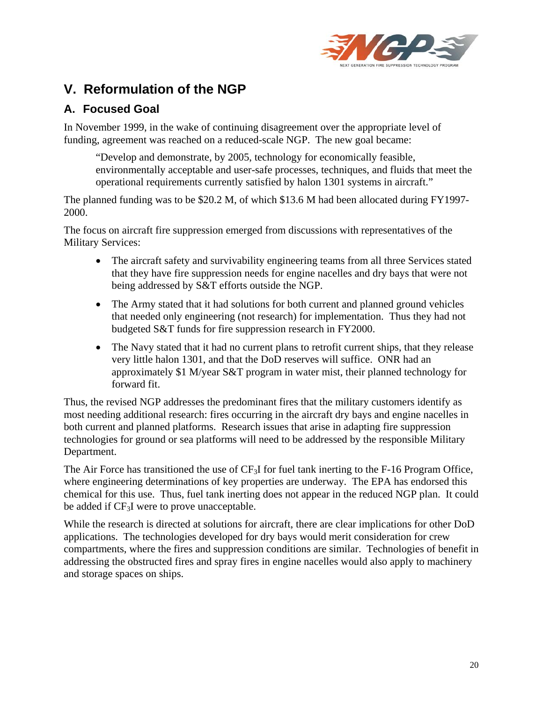

# **V. Reformulation of the NGP**

### **A. Focused Goal**

In November 1999, in the wake of continuing disagreement over the appropriate level of funding, agreement was reached on a reduced-scale NGP. The new goal became:

"Develop and demonstrate, by 2005, technology for economically feasible, environmentally acceptable and user-safe processes, techniques, and fluids that meet the operational requirements currently satisfied by halon 1301 systems in aircraft."

The planned funding was to be \$20.2 M, of which \$13.6 M had been allocated during FY1997- 2000.

The focus on aircraft fire suppression emerged from discussions with representatives of the Military Services:

- The aircraft safety and survivability engineering teams from all three Services stated that they have fire suppression needs for engine nacelles and dry bays that were not being addressed by S&T efforts outside the NGP.
- The Army stated that it had solutions for both current and planned ground vehicles that needed only engineering (not research) for implementation. Thus they had not budgeted S&T funds for fire suppression research in FY2000.
- The Navy stated that it had no current plans to retrofit current ships, that they release very little halon 1301, and that the DoD reserves will suffice. ONR had an approximately \$1 M/year S&T program in water mist, their planned technology for forward fit.

Thus, the revised NGP addresses the predominant fires that the military customers identify as most needing additional research: fires occurring in the aircraft dry bays and engine nacelles in both current and planned platforms. Research issues that arise in adapting fire suppression technologies for ground or sea platforms will need to be addressed by the responsible Military Department.

The Air Force has transitioned the use of  $CF_3I$  for fuel tank inerting to the F-16 Program Office, where engineering determinations of key properties are underway. The EPA has endorsed this chemical for this use. Thus, fuel tank inerting does not appear in the reduced NGP plan. It could be added if  $CF_3I$  were to prove unacceptable.

While the research is directed at solutions for aircraft, there are clear implications for other DoD applications. The technologies developed for dry bays would merit consideration for crew compartments, where the fires and suppression conditions are similar. Technologies of benefit in addressing the obstructed fires and spray fires in engine nacelles would also apply to machinery and storage spaces on ships.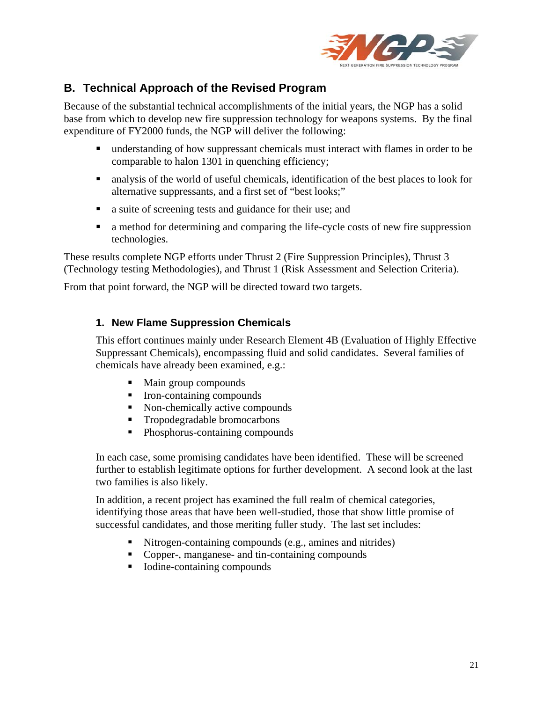

### **B. Technical Approach of the Revised Program**

Because of the substantial technical accomplishments of the initial years, the NGP has a solid base from which to develop new fire suppression technology for weapons systems. By the final expenditure of FY2000 funds, the NGP will deliver the following:

- understanding of how suppressant chemicals must interact with flames in order to be comparable to halon 1301 in quenching efficiency;
- analysis of the world of useful chemicals, identification of the best places to look for alternative suppressants, and a first set of "best looks;"
- a suite of screening tests and guidance for their use; and
- a method for determining and comparing the life-cycle costs of new fire suppression technologies.

These results complete NGP efforts under Thrust 2 (Fire Suppression Principles), Thrust 3 (Technology testing Methodologies), and Thrust 1 (Risk Assessment and Selection Criteria).

From that point forward, the NGP will be directed toward two targets.

#### **1. New Flame Suppression Chemicals**

This effort continues mainly under Research Element 4B (Evaluation of Highly Effective Suppressant Chemicals), encompassing fluid and solid candidates. Several families of chemicals have already been examined, e.g.:

- Main group compounds
- Iron-containing compounds
- Non-chemically active compounds
- Tropodegradable bromocarbons
- Phosphorus-containing compounds

In each case, some promising candidates have been identified. These will be screened further to establish legitimate options for further development. A second look at the last two families is also likely.

In addition, a recent project has examined the full realm of chemical categories, identifying those areas that have been well-studied, those that show little promise of successful candidates, and those meriting fuller study. The last set includes:

- Nitrogen-containing compounds (e.g., amines and nitrides)
- Copper-, manganese- and tin-containing compounds
- Iodine-containing compounds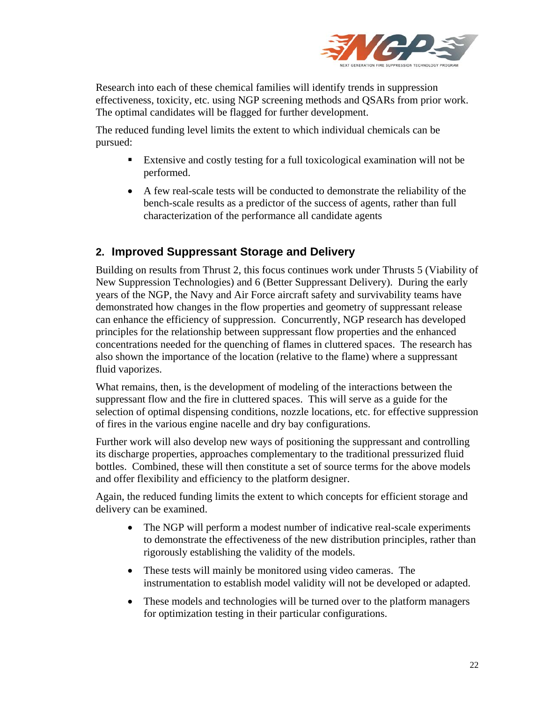

Research into each of these chemical families will identify trends in suppression effectiveness, toxicity, etc. using NGP screening methods and QSARs from prior work. The optimal candidates will be flagged for further development.

The reduced funding level limits the extent to which individual chemicals can be pursued:

- Extensive and costly testing for a full toxicological examination will not be performed.
- A few real-scale tests will be conducted to demonstrate the reliability of the bench-scale results as a predictor of the success of agents, rather than full characterization of the performance all candidate agents

### **2. Improved Suppressant Storage and Delivery**

Building on results from Thrust 2, this focus continues work under Thrusts 5 (Viability of New Suppression Technologies) and 6 (Better Suppressant Delivery). During the early years of the NGP, the Navy and Air Force aircraft safety and survivability teams have demonstrated how changes in the flow properties and geometry of suppressant release can enhance the efficiency of suppression. Concurrently, NGP research has developed principles for the relationship between suppressant flow properties and the enhanced concentrations needed for the quenching of flames in cluttered spaces. The research has also shown the importance of the location (relative to the flame) where a suppressant fluid vaporizes.

What remains, then, is the development of modeling of the interactions between the suppressant flow and the fire in cluttered spaces. This will serve as a guide for the selection of optimal dispensing conditions, nozzle locations, etc. for effective suppression of fires in the various engine nacelle and dry bay configurations.

Further work will also develop new ways of positioning the suppressant and controlling its discharge properties, approaches complementary to the traditional pressurized fluid bottles. Combined, these will then constitute a set of source terms for the above models and offer flexibility and efficiency to the platform designer.

Again, the reduced funding limits the extent to which concepts for efficient storage and delivery can be examined.

- The NGP will perform a modest number of indicative real-scale experiments to demonstrate the effectiveness of the new distribution principles, rather than rigorously establishing the validity of the models.
- These tests will mainly be monitored using video cameras. The instrumentation to establish model validity will not be developed or adapted.
- These models and technologies will be turned over to the platform managers for optimization testing in their particular configurations.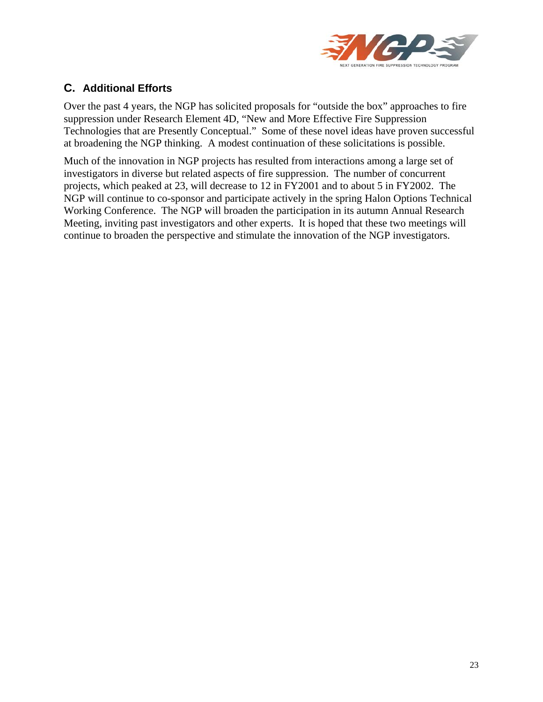

#### **C. Additional Efforts**

Over the past 4 years, the NGP has solicited proposals for "outside the box" approaches to fire suppression under Research Element 4D, "New and More Effective Fire Suppression Technologies that are Presently Conceptual." Some of these novel ideas have proven successful at broadening the NGP thinking. A modest continuation of these solicitations is possible.

Much of the innovation in NGP projects has resulted from interactions among a large set of investigators in diverse but related aspects of fire suppression. The number of concurrent projects, which peaked at 23, will decrease to 12 in FY2001 and to about 5 in FY2002. The NGP will continue to co-sponsor and participate actively in the spring Halon Options Technical Working Conference. The NGP will broaden the participation in its autumn Annual Research Meeting, inviting past investigators and other experts. It is hoped that these two meetings will continue to broaden the perspective and stimulate the innovation of the NGP investigators.